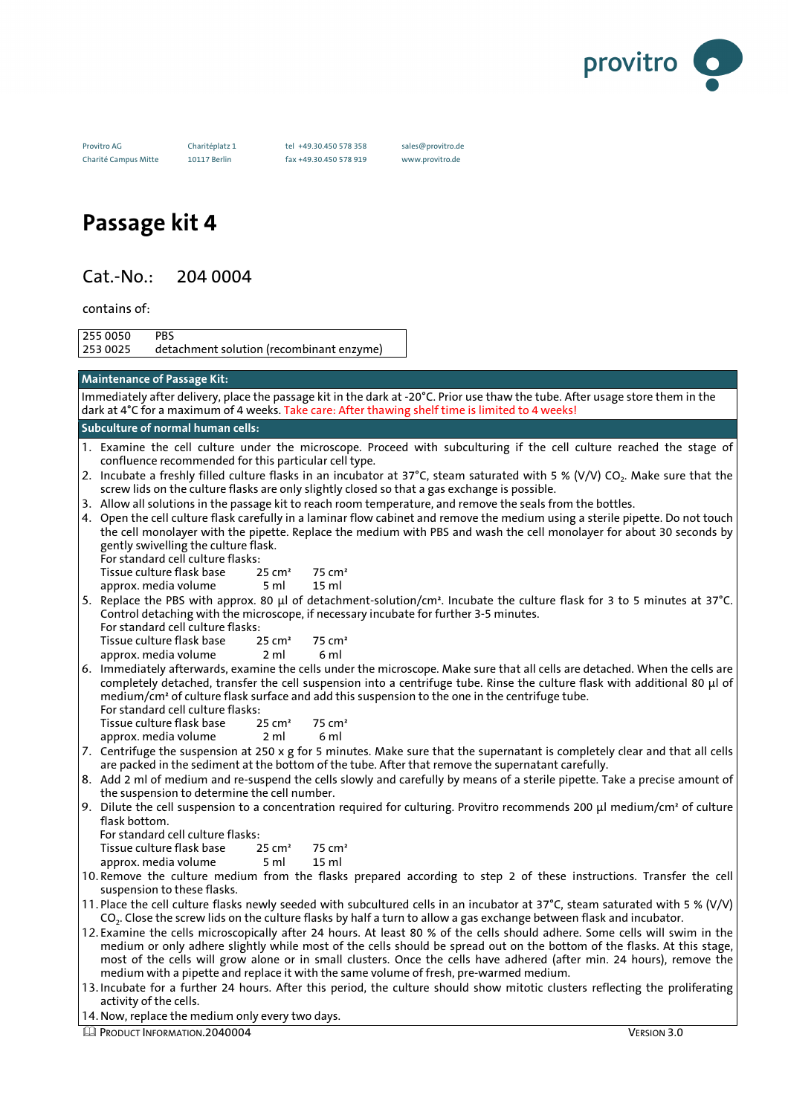

Provitro AG Charitéplatz 1 tel +49.30.450 578 358 sales@provitro.de

Charité Campus Mitte 10117 Berlin fax +49.30.450 578 919 www.provitro.de

# **Passage kit 4**

# Cat.-No.: 204 0004

contains of:

255 0050 PBS detachment solution (recombinant enzyme)

| <b>Maintenance of Passage Kit:</b>                                                                                                                                                                                                                         |
|------------------------------------------------------------------------------------------------------------------------------------------------------------------------------------------------------------------------------------------------------------|
| Immediately after delivery, place the passage kit in the dark at -20°C. Prior use thaw the tube. After usage store them in the                                                                                                                             |
| dark at 4°C for a maximum of 4 weeks. Take care: After thawing shelf time is limited to 4 weeks!                                                                                                                                                           |
| Subculture of normal human cells:                                                                                                                                                                                                                          |
| 1. Examine the cell culture under the microscope. Proceed with subculturing if the cell culture reached the stage of                                                                                                                                       |
| confluence recommended for this particular cell type.                                                                                                                                                                                                      |
| 2. Incubate a freshly filled culture flasks in an incubator at 37°C, steam saturated with 5 % (V/V) CO <sub>2</sub> . Make sure that the                                                                                                                   |
| screw lids on the culture flasks are only slightly closed so that a gas exchange is possible.                                                                                                                                                              |
| 3. Allow all solutions in the passage kit to reach room temperature, and remove the seals from the bottles.                                                                                                                                                |
| 4. Open the cell culture flask carefully in a laminar flow cabinet and remove the medium using a sterile pipette. Do not touch                                                                                                                             |
| the cell monolayer with the pipette. Replace the medium with PBS and wash the cell monolayer for about 30 seconds by<br>gently swivelling the culture flask.                                                                                               |
| For standard cell culture flasks:                                                                                                                                                                                                                          |
| Tissue culture flask base<br>$25 \text{ cm}^2$<br>75 cm <sup>2</sup>                                                                                                                                                                                       |
| approx. media volume<br>5 ml<br>15 <sub>ml</sub>                                                                                                                                                                                                           |
| 5. Replace the PBS with approx. 80 μl of detachment-solution/cm <sup>2</sup> . Incubate the culture flask for 3 to 5 minutes at 37°C.                                                                                                                      |
| Control detaching with the microscope, if necessary incubate for further 3-5 minutes.                                                                                                                                                                      |
| For standard cell culture flasks:                                                                                                                                                                                                                          |
| Tissue culture flask base<br>$25 \text{ cm}^2$<br>$75 \text{ cm}^2$                                                                                                                                                                                        |
| approx. media volume<br>6 ml<br>2 ml                                                                                                                                                                                                                       |
| 6. Immediately afterwards, examine the cells under the microscope. Make sure that all cells are detached. When the cells are<br>completely detached, transfer the cell suspension into a centrifuge tube. Rinse the culture flask with additional 80 µl of |
| medium/cm <sup>2</sup> of culture flask surface and add this suspension to the one in the centrifuge tube.                                                                                                                                                 |
| For standard cell culture flasks:                                                                                                                                                                                                                          |
| Tissue culture flask base<br>$25 \text{ cm}^2$<br>75 cm <sup>2</sup>                                                                                                                                                                                       |
| approx. media volume<br>6 ml<br>2 ml                                                                                                                                                                                                                       |
| 7. Centrifuge the suspension at 250 x g for 5 minutes. Make sure that the supernatant is completely clear and that all cells                                                                                                                               |
| are packed in the sediment at the bottom of the tube. After that remove the supernatant carefully.                                                                                                                                                         |
| 8. Add 2 ml of medium and re-suspend the cells slowly and carefully by means of a sterile pipette. Take a precise amount of                                                                                                                                |
| the suspension to determine the cell number.<br>9. Dilute the cell suspension to a concentration required for culturing. Provitro recommends 200 µl medium/cm <sup>2</sup> of culture                                                                      |
| flask bottom.                                                                                                                                                                                                                                              |
| For standard cell culture flasks:                                                                                                                                                                                                                          |
| Tissue culture flask base<br>$25 \text{ cm}^2$<br>$75 \text{ cm}^2$                                                                                                                                                                                        |
| 15 <sub>ml</sub><br>approx. media volume<br>5 ml                                                                                                                                                                                                           |
| 10. Remove the culture medium from the flasks prepared according to step 2 of these instructions. Transfer the cell                                                                                                                                        |
| suspension to these flasks.                                                                                                                                                                                                                                |
| 11. Place the cell culture flasks newly seeded with subcultured cells in an incubator at 37°C, steam saturated with 5 % (V/V)                                                                                                                              |
| CO <sub>2</sub> . Close the screw lids on the culture flasks by half a turn to allow a gas exchange between flask and incubator.                                                                                                                           |
| 12. Examine the cells microscopically after 24 hours. At least 80 % of the cells should adhere. Some cells will swim in the<br>medium or only adhere slightly while most of the cells should be spread out on the bottom of the flasks. At this stage,     |
| most of the cells will grow alone or in small clusters. Once the cells have adhered (after min. 24 hours), remove the                                                                                                                                      |
| medium with a pipette and replace it with the same volume of fresh, pre-warmed medium.                                                                                                                                                                     |
| 13. Incubate for a further 24 hours. After this period, the culture should show mitotic clusters reflecting the proliferating                                                                                                                              |
| activity of the cells.                                                                                                                                                                                                                                     |
| 14. Now, replace the medium only every two days.                                                                                                                                                                                                           |